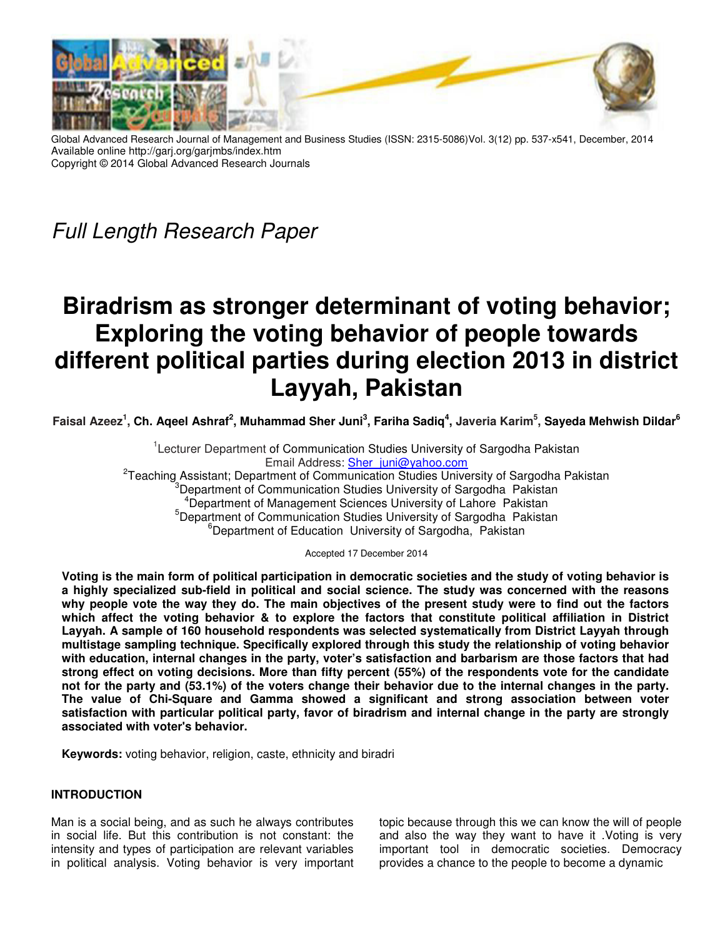

Global Advanced Research Journal of Management and Business Studies (ISSN: 2315-5086)Vol. 3(12) pp. 537-x541, December, 2014 Available online http://garj.org/garjmbs/index.htm Copyright © 2014 Global Advanced Research Journals

Full Length Research Paper

# **Biradrism as stronger determinant of voting behavior; Exploring the voting behavior of people towards different political parties during election 2013 in district Layyah, Pakistan**

**Faisal Azeez<sup>1</sup> , Ch. Aqeel Ashraf<sup>2</sup> , Muhammad Sher Juni<sup>3</sup> , Fariha Sadiq<sup>4</sup> , Javeria Karim<sup>5</sup> , Sayeda Mehwish Dildar<sup>6</sup>**

<sup>1</sup>Lecturer Department of Communication Studies University of Sargodha Pakistan Email Address: Sher\_juni@yahoo.com <sup>2</sup>Teaching Assistant; Department of Communication Studies University of Sargodha Pakistan Department of Communication Studies University of Sargodha Pakistan <sup>4</sup>Department of Management Sciences University of Lahore Pakistan <sup>5</sup>Department of Communication Studies University of Sargodha Pakistan <sup>6</sup>Department of Education University of Sargodha, Pakistan

Accepted 17 December 2014

**Voting is the main form of political participation in democratic societies and the study of voting behavior is a highly specialized sub-field in political and social science. The study was concerned with the reasons why people vote the way they do. The main objectives of the present study were to find out the factors which affect the voting behavior & to explore the factors that constitute political affiliation in District Layyah. A sample of 160 household respondents was selected systematically from District Layyah through multistage sampling technique. Specifically explored through this study the relationship of voting behavior with education, internal changes in the party, voter's satisfaction and barbarism are those factors that had strong effect on voting decisions. More than fifty percent (55%) of the respondents vote for the candidate not for the party and (53.1%) of the voters change their behavior due to the internal changes in the party. The value of Chi-Square and Gamma showed a significant and strong association between voter satisfaction with particular political party, favor of biradrism and internal change in the party are strongly associated with voter's behavior.** 

**Keywords:** voting behavior, religion, caste, ethnicity and biradri

## **INTRODUCTION**

Man is a social being, and as such he always contributes in social life. But this contribution is not constant: the intensity and types of participation are relevant variables in political analysis. Voting behavior is very important

topic because through this we can know the will of people and also the way they want to have it .Voting is very important tool in democratic societies. Democracy provides a chance to the people to become a dynamic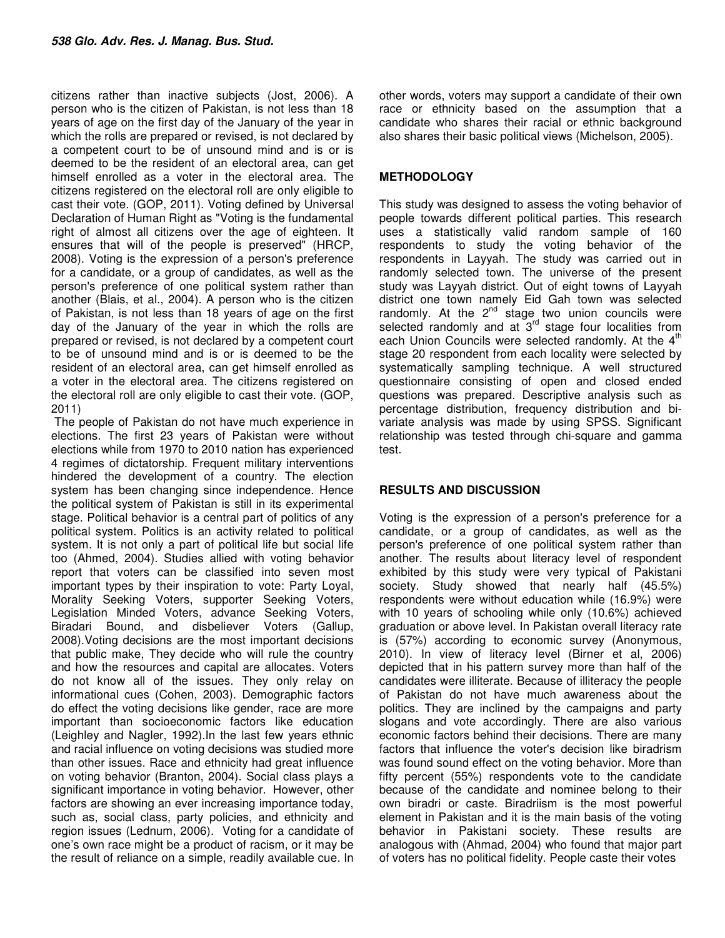citizens rather than inactive subjects (Jost, 2006). A person who is the citizen of Pakistan, is not less than 18 years of age on the first day of the January of the year in which the rolls are prepared or revised, is not declared by a competent court to be of unsound mind and is or is deemed to be the resident of an electoral area, can get himself enrolled as a voter in the electoral area. The citizens registered on the electoral roll are only eligible to cast their vote. (GOP, 2011). Voting defined by Universal Declaration of Human Right as "Voting is the fundamental right of almost all citizens over the age of eighteen. It ensures that will of the people is preserved" (HRCP, 2008). Voting is the expression of a person's preference for a candidate, or a group of candidates, as well as the person's preference of one political system rather than another (Blais, et al., 2004). A person who is the citizen of Pakistan, is not less than 18 years of age on the first day of the January of the year in which the rolls are prepared or revised, is not declared by a competent court to be of unsound mind and is or is deemed to be the resident of an electoral area, can get himself enrolled as a voter in the electoral area. The citizens registered on the electoral roll are only eligible to cast their vote. (GOP, 2011)

 The people of Pakistan do not have much experience in elections. The first 23 years of Pakistan were without elections while from 1970 to 2010 nation has experienced 4 regimes of dictatorship. Frequent military interventions hindered the development of a country. The election system has been changing since independence. Hence the political system of Pakistan is still in its experimental stage. Political behavior is a central part of politics of any political system. Politics is an activity related to political system. It is not only a part of political life but social life too (Ahmed, 2004). Studies allied with voting behavior report that voters can be classified into seven most important types by their inspiration to vote: Party Loyal, Morality Seeking Voters, supporter Seeking Voters, Legislation Minded Voters, advance Seeking Voters, Biradari Bound, and disbeliever Voters (Gallup, 2008).Voting decisions are the most important decisions that public make, They decide who will rule the country and how the resources and capital are allocates. Voters do not know all of the issues. They only relay on informational cues (Cohen, 2003). Demographic factors do effect the voting decisions like gender, race are more important than socioeconomic factors like education (Leighley and Nagler, 1992).In the last few years ethnic and racial influence on voting decisions was studied more than other issues. Race and ethnicity had great influence on voting behavior (Branton, 2004). Social class plays a significant importance in voting behavior. However, other factors are showing an ever increasing importance today, such as, social class, party policies, and ethnicity and region issues (Lednum, 2006). Voting for a candidate of one's own race might be a product of racism, or it may be the result of reliance on a simple, readily available cue. In

other words, voters may support a candidate of their own race or ethnicity based on the assumption that a candidate who shares their racial or ethnic background also shares their basic political views (Michelson, 2005).

#### **METHODOLOGY**

This study was designed to assess the voting behavior of people towards different political parties. This research uses a statistically valid random sample of 160 respondents to study the voting behavior of the respondents in Layyah. The study was carried out in randomly selected town. The universe of the present study was Layyah district. Out of eight towns of Layyah district one town namely Eid Gah town was selected randomly. At the  $2^{nd}$  stage two union councils were selected randomly and at  $3<sup>rd</sup>$  stage four localities from each Union Councils were selected randomly. At the 4<sup>th</sup> stage 20 respondent from each locality were selected by systematically sampling technique. A well structured questionnaire consisting of open and closed ended questions was prepared. Descriptive analysis such as percentage distribution, frequency distribution and bivariate analysis was made by using SPSS. Significant relationship was tested through chi-square and gamma test.

## **RESULTS AND DISCUSSION**

Voting is the expression of a person's preference for a candidate, or a group of candidates, as well as the person's preference of one political system rather than another. The results about literacy level of respondent exhibited by this study were very typical of Pakistani society. Study showed that nearly half (45.5%) respondents were without education while (16.9%) were with 10 years of schooling while only (10.6%) achieved graduation or above level. In Pakistan overall literacy rate is (57%) according to economic survey (Anonymous, 2010). In view of literacy level (Birner et al, 2006) depicted that in his pattern survey more than half of the candidates were illiterate. Because of illiteracy the people of Pakistan do not have much awareness about the politics. They are inclined by the campaigns and party slogans and vote accordingly. There are also various economic factors behind their decisions. There are many factors that influence the voter's decision like biradrism was found sound effect on the voting behavior. More than fifty percent (55%) respondents vote to the candidate because of the candidate and nominee belong to their own biradri or caste. Biradriism is the most powerful element in Pakistan and it is the main basis of the voting behavior in Pakistani society. These results are analogous with (Ahmad, 2004) who found that major part of voters has no political fidelity. People caste their votes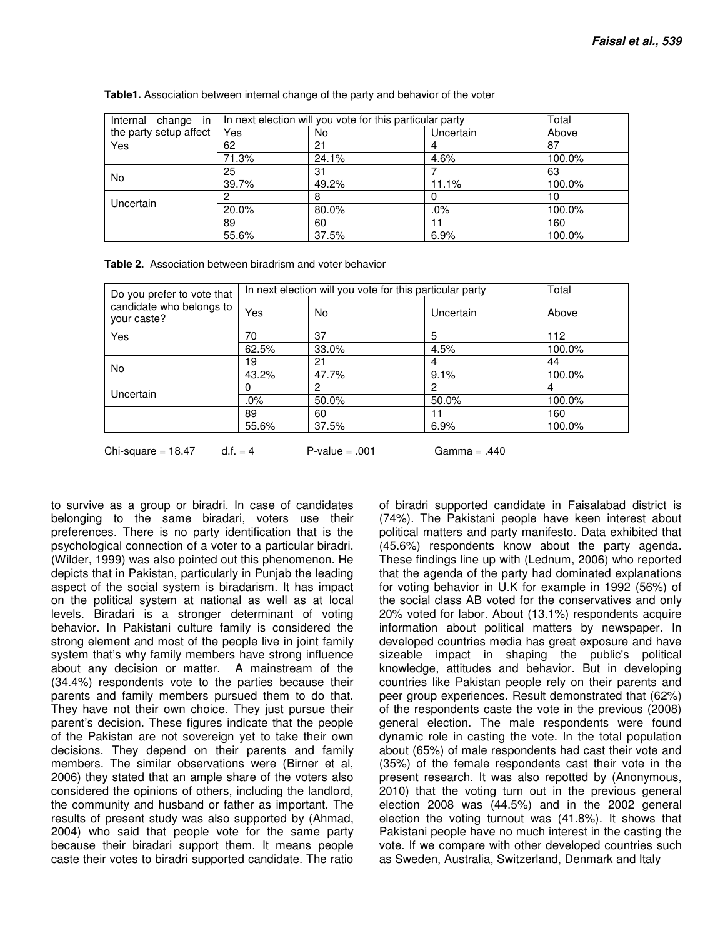| Internal change in     | In next election will you vote for this particular party |       |           | Total  |
|------------------------|----------------------------------------------------------|-------|-----------|--------|
| the party setup affect | Yes                                                      | No    | Uncertain | Above  |
| Yes                    | 62                                                       | 21    |           | 87     |
|                        | 71.3%                                                    | 24.1% | 4.6%      | 100.0% |
| No.                    | 25                                                       | 31    |           | 63     |
|                        | 39.7%                                                    | 49.2% | 11.1%     | 100.0% |
| Uncertain              |                                                          | 8     |           | 10     |
|                        | 20.0%                                                    | 80.0% | $.0\%$    | 100.0% |
|                        | 89                                                       | 60    | 11        | 160    |
|                        | 55.6%                                                    | 37.5% | 6.9%      | 100.0% |

**Table1.** Association between internal change of the party and behavior of the voter

**Table 2.** Association between biradrism and voter behavior

| Do you prefer to vote that              | In next election will you vote for this particular party |       |           | Total  |
|-----------------------------------------|----------------------------------------------------------|-------|-----------|--------|
| candidate who belongs to<br>your caste? | Yes                                                      | No    | Uncertain | Above  |
| Yes                                     | 70                                                       | 37    | 5         | 112    |
|                                         | 62.5%                                                    | 33.0% | 4.5%      | 100.0% |
| No                                      | 19                                                       | 21    | 4         | 44     |
|                                         | 43.2%                                                    | 47.7% | 9.1%      | 100.0% |
| Uncertain                               | 0                                                        | 2     | 2         | 4      |
|                                         | .0%                                                      | 50.0% | 50.0%     | 100.0% |
|                                         | 89                                                       | 60    | 11        | 160    |
|                                         | 55.6%                                                    | 37.5% | 6.9%      | 100.0% |

Chi-square =  $18.47$  d.f. =  $4$  P-value = .001 Gamma = .440

to survive as a group or biradri. In case of candidates belonging to the same biradari, voters use their preferences. There is no party identification that is the psychological connection of a voter to a particular biradri. (Wilder, 1999) was also pointed out this phenomenon. He depicts that in Pakistan, particularly in Punjab the leading aspect of the social system is biradarism. It has impact on the political system at national as well as at local levels. Biradari is a stronger determinant of voting behavior. In Pakistani culture family is considered the strong element and most of the people live in joint family system that's why family members have strong influence about any decision or matter. A mainstream of the (34.4%) respondents vote to the parties because their parents and family members pursued them to do that. They have not their own choice. They just pursue their parent's decision. These figures indicate that the people of the Pakistan are not sovereign yet to take their own decisions. They depend on their parents and family members. The similar observations were (Birner et al, 2006) they stated that an ample share of the voters also considered the opinions of others, including the landlord, the community and husband or father as important. The results of present study was also supported by (Ahmad, 2004) who said that people vote for the same party because their biradari support them. It means people caste their votes to biradri supported candidate. The ratio

of biradri supported candidate in Faisalabad district is (74%). The Pakistani people have keen interest about political matters and party manifesto. Data exhibited that (45.6%) respondents know about the party agenda. These findings line up with (Lednum, 2006) who reported that the agenda of the party had dominated explanations for voting behavior in U.K for example in 1992 (56%) of the social class AB voted for the conservatives and only 20% voted for labor. About (13.1%) respondents acquire information about political matters by newspaper. In developed countries media has great exposure and have sizeable impact in shaping the public's political knowledge, attitudes and behavior. But in developing countries like Pakistan people rely on their parents and peer group experiences. Result demonstrated that (62%) of the respondents caste the vote in the previous (2008) general election. The male respondents were found dynamic role in casting the vote. In the total population about (65%) of male respondents had cast their vote and (35%) of the female respondents cast their vote in the present research. It was also repotted by (Anonymous, 2010) that the voting turn out in the previous general election 2008 was (44.5%) and in the 2002 general election the voting turnout was (41.8%). It shows that Pakistani people have no much interest in the casting the vote. If we compare with other developed countries such as Sweden, Australia, Switzerland, Denmark and Italy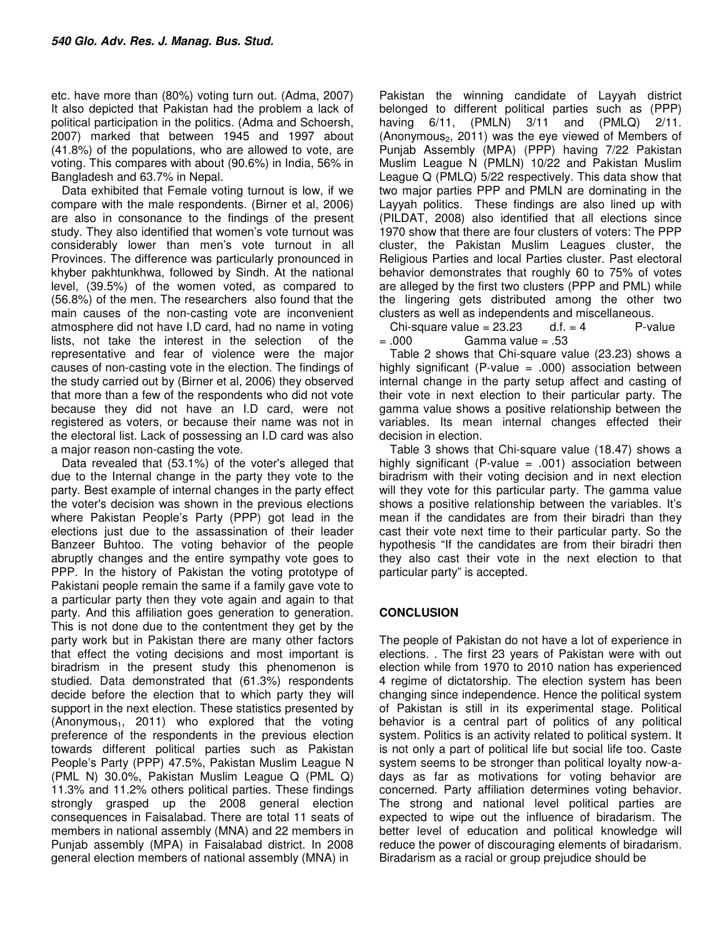etc. have more than (80%) voting turn out. (Adma, 2007) It also depicted that Pakistan had the problem a lack of political participation in the politics. (Adma and Schoersh, 2007) marked that between 1945 and 1997 about (41.8%) of the populations, who are allowed to vote, are voting. This compares with about (90.6%) in India, 56% in Bangladesh and 63.7% in Nepal.

Data exhibited that Female voting turnout is low, if we compare with the male respondents. (Birner et al, 2006) are also in consonance to the findings of the present study. They also identified that women's vote turnout was considerably lower than men's vote turnout in all Provinces. The difference was particularly pronounced in khyber pakhtunkhwa, followed by Sindh. At the national level, (39.5%) of the women voted, as compared to (56.8%) of the men. The researchers also found that the main causes of the non-casting vote are inconvenient atmosphere did not have I.D card, had no name in voting lists, not take the interest in the selection of the representative and fear of violence were the major causes of non-casting vote in the election. The findings of the study carried out by (Birner et al, 2006) they observed that more than a few of the respondents who did not vote because they did not have an I.D card, were not registered as voters, or because their name was not in the electoral list. Lack of possessing an I.D card was also a major reason non-casting the vote.

Data revealed that (53.1%) of the voter's alleged that due to the Internal change in the party they vote to the party. Best example of internal changes in the party effect the voter's decision was shown in the previous elections where Pakistan People's Party (PPP) got lead in the elections just due to the assassination of their leader Banzeer Buhtoo. The voting behavior of the people abruptly changes and the entire sympathy vote goes to PPP. In the history of Pakistan the voting prototype of Pakistani people remain the same if a family gave vote to a particular party then they vote again and again to that party. And this affiliation goes generation to generation. This is not done due to the contentment they get by the party work but in Pakistan there are many other factors that effect the voting decisions and most important is biradrism in the present study this phenomenon is studied. Data demonstrated that (61.3%) respondents decide before the election that to which party they will support in the next election. These statistics presented by  $($ Anonymous<sub>1</sub>, 2011) who explored that the voting preference of the respondents in the previous election towards different political parties such as Pakistan People's Party (PPP) 47.5%, Pakistan Muslim League N (PML N) 30.0%, Pakistan Muslim League Q (PML Q) 11.3% and 11.2% others political parties. These findings strongly grasped up the 2008 general election consequences in Faisalabad. There are total 11 seats of members in national assembly (MNA) and 22 members in Punjab assembly (MPA) in Faisalabad district. In 2008 general election members of national assembly (MNA) in

Pakistan the winning candidate of Layyah district belonged to different political parties such as (PPP) having 6/11, (PMLN) 3/11 and (PMLQ) 2/11. (Anonymous $_2$ , 2011) was the eye viewed of Members of Punjab Assembly (MPA) (PPP) having 7/22 Pakistan Muslim League N (PMLN) 10/22 and Pakistan Muslim League Q (PMLQ) 5/22 respectively. This data show that two major parties PPP and PMLN are dominating in the Layyah politics. These findings are also lined up with (PILDAT, 2008) also identified that all elections since 1970 show that there are four clusters of voters: The PPP cluster, the Pakistan Muslim Leagues cluster, the Religious Parties and local Parties cluster. Past electoral behavior demonstrates that roughly 60 to 75% of votes are alleged by the first two clusters (PPP and PML) while the lingering gets distributed among the other two clusters as well as independents and miscellaneous.

Chi-square value =  $23.23$  d.f. =  $4$  P-value = .000 Gamma value = .53

Table 2 shows that Chi-square value (23.23) shows a highly significant (P-value  $= .000$ ) association between internal change in the party setup affect and casting of their vote in next election to their particular party. The gamma value shows a positive relationship between the variables. Its mean internal changes effected their decision in election.

Table 3 shows that Chi-square value (18.47) shows a highly significant (P-value  $= .001$ ) association between biradrism with their voting decision and in next election will they vote for this particular party. The gamma value shows a positive relationship between the variables. It's mean if the candidates are from their biradri than they cast their vote next time to their particular party. So the hypothesis "If the candidates are from their biradri then they also cast their vote in the next election to that particular party" is accepted.

## **CONCLUSION**

The people of Pakistan do not have a lot of experience in elections. . The first 23 years of Pakistan were with out election while from 1970 to 2010 nation has experienced 4 regime of dictatorship. The election system has been changing since independence. Hence the political system of Pakistan is still in its experimental stage. Political behavior is a central part of politics of any political system. Politics is an activity related to political system. It is not only a part of political life but social life too. Caste system seems to be stronger than political loyalty now-adays as far as motivations for voting behavior are concerned. Party affiliation determines voting behavior. The strong and national level political parties are expected to wipe out the influence of biradarism. The better level of education and political knowledge will reduce the power of discouraging elements of biradarism. Biradarism as a racial or group prejudice should be